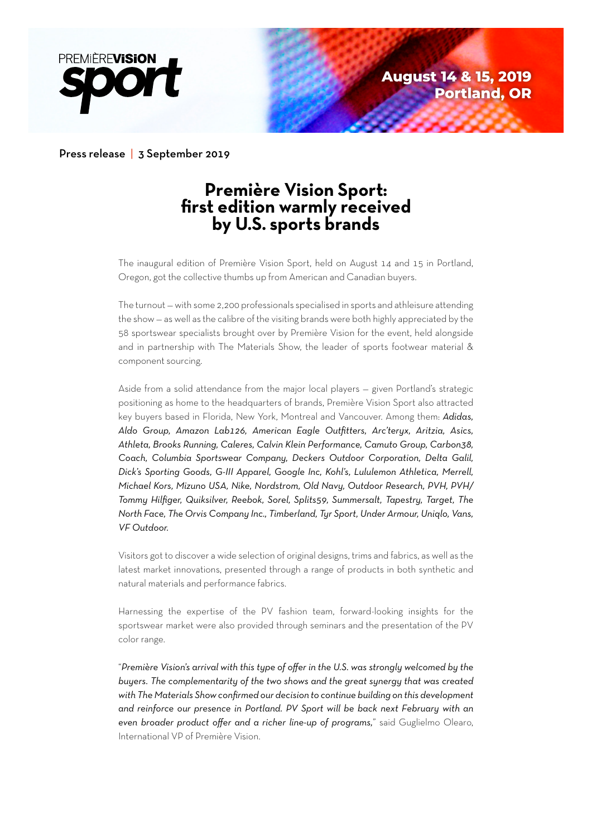

Press release | 3 September 2019

# **Première Vision Sport: first edition warmly received by U.S. sports brands**

The inaugural edition of Première Vision Sport, held on August 14 and 15 in Portland, Oregon, got the collective thumbs up from American and Canadian buyers.

The turnout — with some 2,200 professionals specialised in sports and athleisure attending the show — as well as the calibre of the visiting brands were both highly appreciated by the 58 sportswear specialists brought over by Première Vision for the event, held alongside and in partnership with The Materials Show, the leader of sports footwear material & component sourcing.

Aside from a solid attendance from the major local players — given Portland's strategic positioning as home to the headquarters of brands, Première Vision Sport also attracted key buyers based in Florida, New York, Montreal and Vancouver. Among them: *Adidas, Aldo Group, Amazon Lab126, American Eagle Outfitters, Arc'teryx, Aritzia, Asics, Athleta, Brooks Running, Caleres, Calvin Klein Performance, Camuto Group, Carbon38, Coach, Columbia Sportswear Company, Deckers Outdoor Corporation, Delta Galil, Dick's Sporting Goods, G-III Apparel, Google Inc, Kohl's, Lululemon Athletica, Merrell, Michael Kors, Mizuno USA, Nike, Nordstrom, Old Navy, Outdoor Research, PVH, PVH/ Tommy Hilfiger, Quiksilver, Reebok, Sorel, Splits59, Summersalt, Tapestry, Target, The North Face, The Orvis Company Inc., Timberland, Tyr Sport, Under Armour, Uniqlo, Vans, VF Outdoor.*

Visitors got to discover a wide selection of original designs, trims and fabrics, as well as the latest market innovations, presented through a range of products in both synthetic and natural materials and performance fabrics.

Harnessing the expertise of the PV fashion team, forward-looking insights for the sportswear market were also provided through seminars and the presentation of the PV color range.

"*Première Vision's arrival with this type of offer in the U.S. was strongly welcomed by the buyers. The complementarity of the two shows and the great synergy that was created with The Materials Show confirmed our decision to continue building on this development and reinforce our presence in Portland. PV Sport will be back next February with an even broader product offer and a richer line-up of programs,*" said Guglielmo Olearo, International VP of Première Vision.